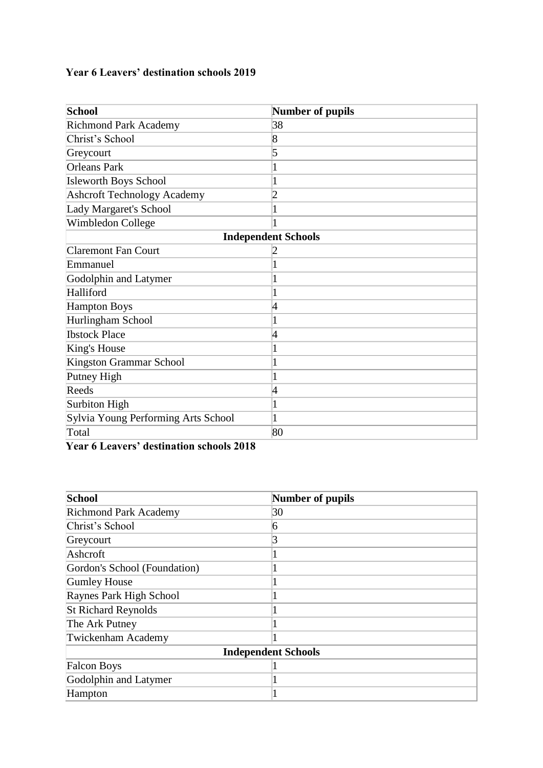## **Year 6 Leavers' destination schools 2019**

| <b>School</b>                       | Number of pupils           |
|-------------------------------------|----------------------------|
| <b>Richmond Park Academy</b>        | 38                         |
| Christ's School                     | 8                          |
| Greycourt                           | 5                          |
| <b>Orleans Park</b>                 |                            |
| <b>Isleworth Boys School</b>        |                            |
| <b>Ashcroft Technology Academy</b>  | $\overline{c}$             |
| Lady Margaret's School              |                            |
| Wimbledon College                   |                            |
|                                     | <b>Independent Schools</b> |
| <b>Claremont Fan Court</b>          |                            |
| Emmanuel                            |                            |
| Godolphin and Latymer               |                            |
| Halliford                           |                            |
| <b>Hampton Boys</b>                 | 4                          |
| Hurlingham School                   |                            |
| <b>Ibstock Place</b>                | 4                          |
| King's House                        |                            |
| <b>Kingston Grammar School</b>      |                            |
| Putney High                         |                            |
| Reeds                               | 4                          |
| <b>Surbiton High</b>                |                            |
| Sylvia Young Performing Arts School |                            |
| Total                               | 80                         |

**Year 6 Leavers' destination schools 2018**

| <b>School</b>                | Number of pupils           |
|------------------------------|----------------------------|
| <b>Richmond Park Academy</b> | 30                         |
| Christ's School              | 6                          |
| Greycourt                    |                            |
| Ashcroft                     |                            |
| Gordon's School (Foundation) |                            |
| <b>Gumley House</b>          |                            |
| Raynes Park High School      |                            |
| <b>St Richard Reynolds</b>   |                            |
| The Ark Putney               |                            |
| Twickenham Academy           |                            |
|                              | <b>Independent Schools</b> |
| <b>Falcon Boys</b>           |                            |
| Godolphin and Latymer        |                            |
| Hampton                      |                            |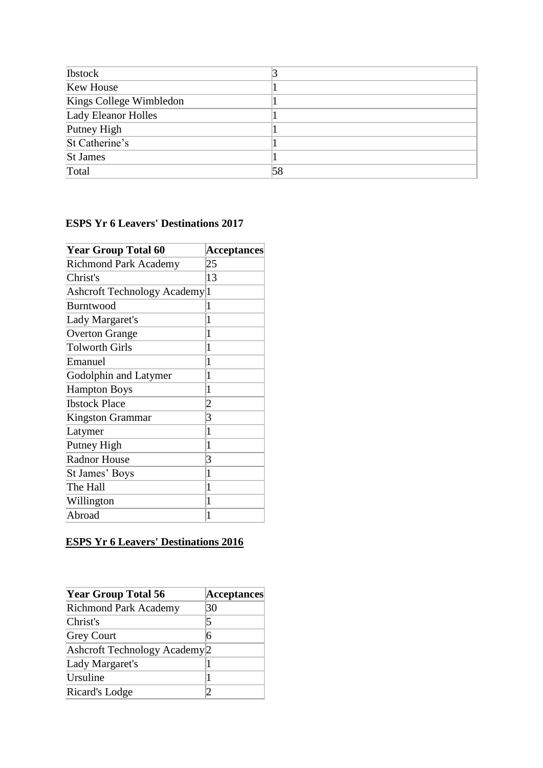| <b>Ibstock</b>             |    |
|----------------------------|----|
| <b>Kew House</b>           |    |
| Kings College Wimbledon    |    |
| <b>Lady Eleanor Holles</b> |    |
| Putney High                |    |
| St Catherine's             |    |
| <b>St James</b>            |    |
| Total                      | 58 |

## **ESPS Yr 6 Leavers' Destinations 2017**

| <b>Year Group Total 60</b>    | <b>Acceptances</b> |
|-------------------------------|--------------------|
| <b>Richmond Park Academy</b>  | 25                 |
| Christ's                      | 13                 |
| Ashcroft Technology Academy 1 |                    |
| Burntwood                     | 1                  |
| Lady Margaret's               | 1                  |
| <b>Overton Grange</b>         | 1                  |
| <b>Tolworth Girls</b>         | 1                  |
| Emanuel                       | 1                  |
| Godolphin and Latymer         | 1                  |
| <b>Hampton Boys</b>           | 1                  |
| <b>Ibstock Place</b>          | 2                  |
| Kingston Grammar              | 3                  |
| Latymer                       | 1                  |
| Putney High                   | 1                  |
| <b>Radnor House</b>           | 3                  |
| St James' Boys                | 1                  |
| The Hall                      | 1                  |
| Willington                    | 1                  |
| Abroad                        | 1                  |

## **ESPS Yr 6 Leavers' Destinations 2016**

| <b>Year Group Total 56</b>               | Acceptances |
|------------------------------------------|-------------|
| <b>Richmond Park Academy</b>             | 30          |
| Christ's                                 | 5           |
| <b>Grey Court</b>                        | 6           |
| Ashcroft Technology Academy <sup>2</sup> |             |
| Lady Margaret's                          |             |
| Ursuline                                 |             |
| Ricard's Lodge                           |             |